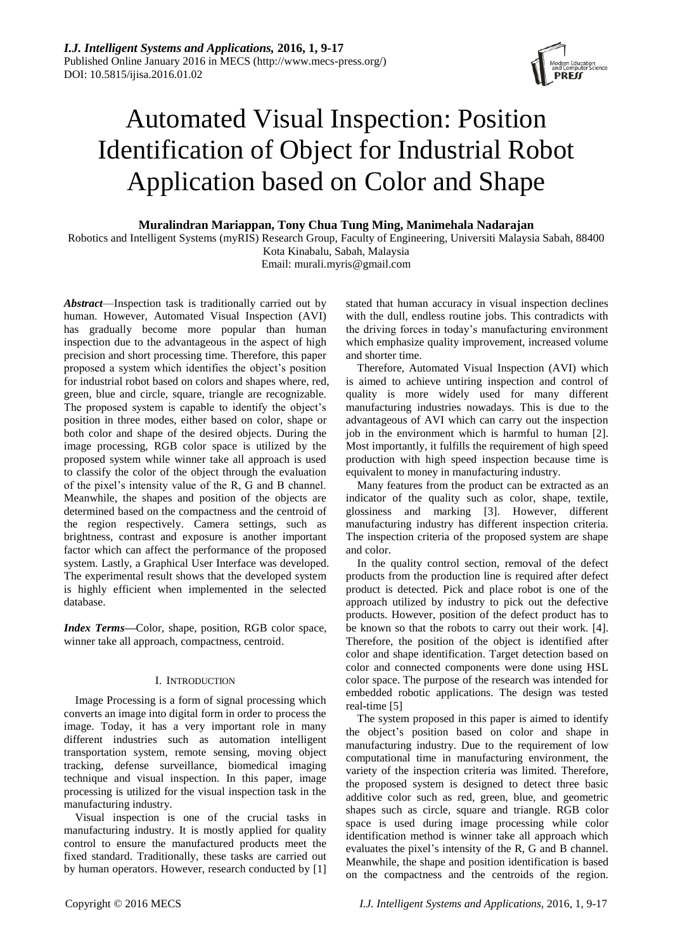

# Automated Visual Inspection: Position Identification of Object for Industrial Robot Application based on Color and Shape

**Muralindran Mariappan, Tony Chua Tung Ming, Manimehala Nadarajan**

Robotics and Intelligent Systems (myRIS) Research Group, Faculty of Engineering, Universiti Malaysia Sabah, 88400

Kota Kinabalu, Sabah, Malaysia Email: [murali.myris@gmail.com](mailto:murali.myris@gmail.com)

*Abstract*—Inspection task is traditionally carried out by human. However, Automated Visual Inspection (AVI) has gradually become more popular than human inspection due to the advantageous in the aspect of high precision and short processing time. Therefore, this paper proposed a system which identifies the object's position for industrial robot based on colors and shapes where, red, green, blue and circle, square, triangle are recognizable. The proposed system is capable to identify the object's position in three modes, either based on color, shape or both color and shape of the desired objects. During the image processing, RGB color space is utilized by the proposed system while winner take all approach is used to classify the color of the object through the evaluation of the pixel's intensity value of the R, G and B channel. Meanwhile, the shapes and position of the objects are determined based on the compactness and the centroid of the region respectively. Camera settings, such as brightness, contrast and exposure is another important factor which can affect the performance of the proposed system. Lastly, a Graphical User Interface was developed. The experimental result shows that the developed system is highly efficient when implemented in the selected database.

*Index Terms***—**Color, shape, position, RGB color space, winner take all approach, compactness, centroid.

# I. INTRODUCTION

Image Processing is a form of signal processing which converts an image into digital form in order to process the image. Today, it has a very important role in many different industries such as automation intelligent transportation system, remote sensing, moving object tracking, defense surveillance, biomedical imaging technique and visual inspection. In this paper, image processing is utilized for the visual inspection task in the manufacturing industry.

Visual inspection is one of the crucial tasks in manufacturing industry. It is mostly applied for quality control to ensure the manufactured products meet the fixed standard. Traditionally, these tasks are carried out by human operators. However, research conducted by [1] stated that human accuracy in visual inspection declines with the dull, endless routine jobs. This contradicts with the driving forces in today's manufacturing environment which emphasize quality improvement, increased volume and shorter time.

Therefore, Automated Visual Inspection (AVI) which is aimed to achieve untiring inspection and control of quality is more widely used for many different manufacturing industries nowadays. This is due to the advantageous of AVI which can carry out the inspection job in the environment which is harmful to human [2]. Most importantly, it fulfills the requirement of high speed production with high speed inspection because time is equivalent to money in manufacturing industry.

Many features from the product can be extracted as an indicator of the quality such as color, shape, textile, glossiness and marking [3]. However, different manufacturing industry has different inspection criteria. The inspection criteria of the proposed system are shape and color.

In the quality control section, removal of the defect products from the production line is required after defect product is detected. Pick and place robot is one of the approach utilized by industry to pick out the defective products. However, position of the defect product has to be known so that the robots to carry out their work. [4]. Therefore, the position of the object is identified after color and shape identification. Target detection based on color and connected components were done using HSL color space. The purpose of the research was intended for embedded robotic applications. The design was tested real-time [5]

The system proposed in this paper is aimed to identify the object's position based on color and shape in manufacturing industry. Due to the requirement of low computational time in manufacturing environment, the variety of the inspection criteria was limited. Therefore, the proposed system is designed to detect three basic additive color such as red, green, blue, and geometric shapes such as circle, square and triangle. RGB color space is used during image processing while color identification method is winner take all approach which evaluates the pixel's intensity of the R, G and B channel. Meanwhile, the shape and position identification is based on the compactness and the centroids of the region.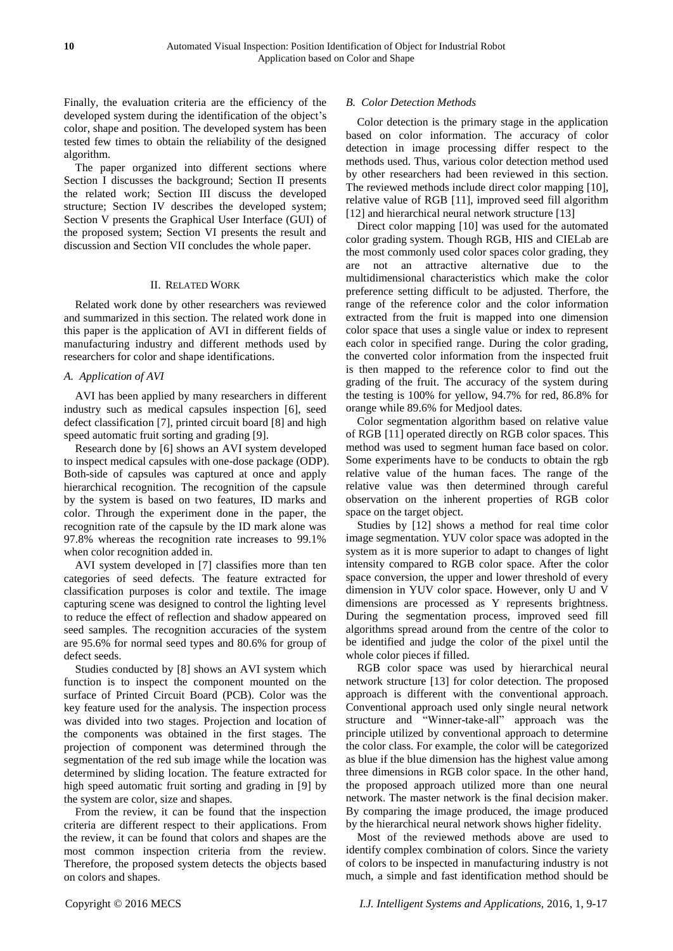Finally, the evaluation criteria are the efficiency of the developed system during the identification of the object's color, shape and position. The developed system has been tested few times to obtain the reliability of the designed algorithm.

The paper organized into different sections where Section I discusses the background; Section II presents the related work; Section III discuss the developed structure; Section IV describes the developed system; Section V presents the Graphical User Interface (GUI) of the proposed system; Section VI presents the result and discussion and Section VII concludes the whole paper.

## II. RELATED WORK

Related work done by other researchers was reviewed and summarized in this section. The related work done in this paper is the application of AVI in different fields of manufacturing industry and different methods used by researchers for color and shape identifications.

# *A. Application of AVI*

AVI has been applied by many researchers in different industry such as medical capsules inspection [6], seed defect classification [7], printed circuit board [8] and high speed automatic fruit sorting and grading [9].

Research done by [6] shows an AVI system developed to inspect medical capsules with one-dose package (ODP). Both-side of capsules was captured at once and apply hierarchical recognition. The recognition of the capsule by the system is based on two features, ID marks and color. Through the experiment done in the paper, the recognition rate of the capsule by the ID mark alone was 97.8% whereas the recognition rate increases to 99.1% when color recognition added in.

AVI system developed in [7] classifies more than ten categories of seed defects. The feature extracted for classification purposes is color and textile. The image capturing scene was designed to control the lighting level to reduce the effect of reflection and shadow appeared on seed samples. The recognition accuracies of the system are 95.6% for normal seed types and 80.6% for group of defect seeds.

Studies conducted by [8] shows an AVI system which function is to inspect the component mounted on the surface of Printed Circuit Board (PCB). Color was the key feature used for the analysis. The inspection process was divided into two stages. Projection and location of the components was obtained in the first stages. The projection of component was determined through the segmentation of the red sub image while the location was determined by sliding location. The feature extracted for high speed automatic fruit sorting and grading in [9] by the system are color, size and shapes.

From the review, it can be found that the inspection criteria are different respect to their applications. From the review, it can be found that colors and shapes are the most common inspection criteria from the review. Therefore, the proposed system detects the objects based on colors and shapes.

## *B. Color Detection Methods*

Color detection is the primary stage in the application based on color information. The accuracy of color detection in image processing differ respect to the methods used. Thus, various color detection method used by other researchers had been reviewed in this section. The reviewed methods include direct color mapping [10], relative value of RGB [11], improved seed fill algorithm [12] and hierarchical neural network structure [13]

Direct color mapping [10] was used for the automated color grading system. Though RGB, HIS and CIELab are the most commonly used color spaces color grading, they are not an attractive alternative due to the multidimensional characteristics which make the color preference setting difficult to be adjusted. Therfore, the range of the reference color and the color information extracted from the fruit is mapped into one dimension color space that uses a single value or index to represent each color in specified range. During the color grading, the converted color information from the inspected fruit is then mapped to the reference color to find out the grading of the fruit. The accuracy of the system during the testing is 100% for yellow, 94.7% for red, 86.8% for orange while 89.6% for Medjool dates.

Color segmentation algorithm based on relative value of RGB [11] operated directly on RGB color spaces. This method was used to segment human face based on color. Some experiments have to be conducts to obtain the rgb relative value of the human faces. The range of the relative value was then determined through careful observation on the inherent properties of RGB color space on the target object.

Studies by [12] shows a method for real time color image segmentation. YUV color space was adopted in the system as it is more superior to adapt to changes of light intensity compared to RGB color space. After the color space conversion, the upper and lower threshold of every dimension in YUV color space. However, only U and V dimensions are processed as Y represents brightness. During the segmentation process, improved seed fill algorithms spread around from the centre of the color to be identified and judge the color of the pixel until the whole color pieces if filled.

RGB color space was used by hierarchical neural network structure [13] for color detection. The proposed approach is different with the conventional approach. Conventional approach used only single neural network structure and "Winner-take-all" approach was the principle utilized by conventional approach to determine the color class. For example, the color will be categorized as blue if the blue dimension has the highest value among three dimensions in RGB color space. In the other hand, the proposed approach utilized more than one neural network. The master network is the final decision maker. By comparing the image produced, the image produced by the hierarchical neural network shows higher fidelity.

Most of the reviewed methods above are used to identify complex combination of colors. Since the variety of colors to be inspected in manufacturing industry is not much, a simple and fast identification method should be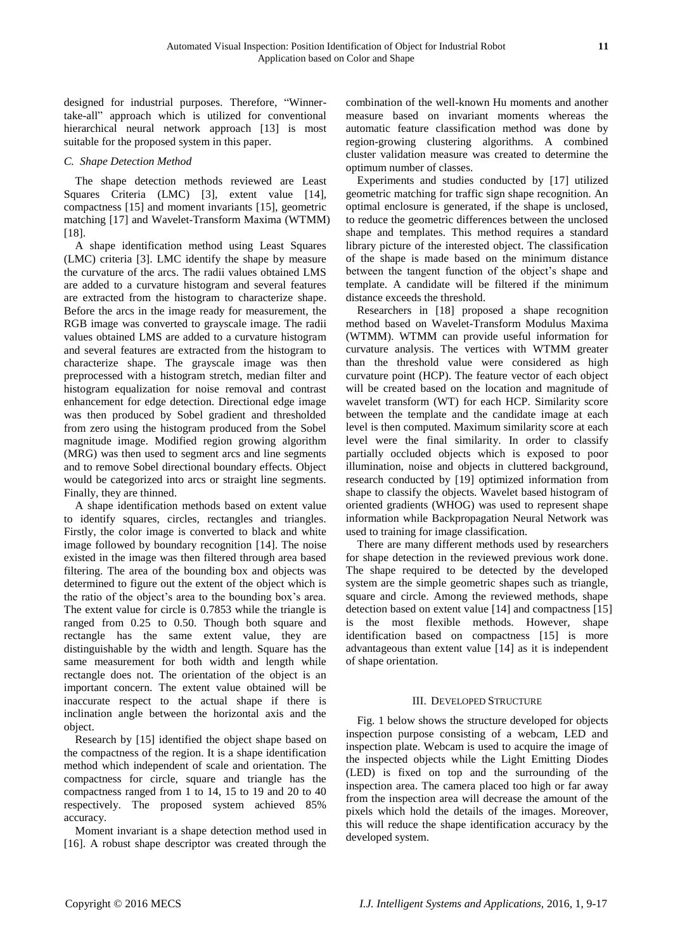designed for industrial purposes. Therefore, "Winnertake-all" approach which is utilized for conventional hierarchical neural network approach [13] is most suitable for the proposed system in this paper.

# *C. Shape Detection Method*

The shape detection methods reviewed are Least Squares Criteria (LMC) [3], extent value [14], compactness [15] and moment invariants [15], geometric matching [17] and Wavelet-Transform Maxima (WTMM) [18].

A shape identification method using Least Squares (LMC) criteria [3]. LMC identify the shape by measure the curvature of the arcs. The radii values obtained LMS are added to a curvature histogram and several features are extracted from the histogram to characterize shape. Before the arcs in the image ready for measurement, the RGB image was converted to grayscale image. The radii values obtained LMS are added to a curvature histogram and several features are extracted from the histogram to characterize shape. The grayscale image was then preprocessed with a histogram stretch, median filter and histogram equalization for noise removal and contrast enhancement for edge detection. Directional edge image was then produced by Sobel gradient and thresholded from zero using the histogram produced from the Sobel magnitude image. Modified region growing algorithm (MRG) was then used to segment arcs and line segments and to remove Sobel directional boundary effects. Object would be categorized into arcs or straight line segments. Finally, they are thinned.

A shape identification methods based on extent value to identify squares, circles, rectangles and triangles. Firstly, the color image is converted to black and white image followed by boundary recognition [14]. The noise existed in the image was then filtered through area based filtering. The area of the bounding box and objects was determined to figure out the extent of the object which is the ratio of the object's area to the bounding box's area. The extent value for circle is 0.7853 while the triangle is ranged from 0.25 to 0.50. Though both square and rectangle has the same extent value, they are distinguishable by the width and length. Square has the same measurement for both width and length while rectangle does not. The orientation of the object is an important concern. The extent value obtained will be inaccurate respect to the actual shape if there is inclination angle between the horizontal axis and the object.

Research by [15] identified the object shape based on the compactness of the region. It is a shape identification method which independent of scale and orientation. The compactness for circle, square and triangle has the compactness ranged from 1 to 14, 15 to 19 and 20 to 40 respectively. The proposed system achieved 85% accuracy.

Moment invariant is a shape detection method used in [16]. A robust shape descriptor was created through the

combination of the well-known Hu moments and another measure based on invariant moments whereas the automatic feature classification method was done by region-growing clustering algorithms. A combined cluster validation measure was created to determine the optimum number of classes.

Experiments and studies conducted by [17] utilized geometric matching for traffic sign shape recognition. An optimal enclosure is generated, if the shape is unclosed, to reduce the geometric differences between the unclosed shape and templates. This method requires a standard library picture of the interested object. The classification of the shape is made based on the minimum distance between the tangent function of the object's shape and template. A candidate will be filtered if the minimum distance exceeds the threshold.

Researchers in [18] proposed a shape recognition method based on Wavelet-Transform Modulus Maxima (WTMM). WTMM can provide useful information for curvature analysis. The vertices with WTMM greater than the threshold value were considered as high curvature point (HCP). The feature vector of each object will be created based on the location and magnitude of wavelet transform (WT) for each HCP. Similarity score between the template and the candidate image at each level is then computed. Maximum similarity score at each level were the final similarity. In order to classify partially occluded objects which is exposed to poor illumination, noise and objects in cluttered background, research conducted by [19] optimized information from shape to classify the objects. Wavelet based histogram of oriented gradients (WHOG) was used to represent shape information while Backpropagation Neural Network was used to training for image classification.

There are many different methods used by researchers for shape detection in the reviewed previous work done. The shape required to be detected by the developed system are the simple geometric shapes such as triangle, square and circle. Among the reviewed methods, shape detection based on extent value [14] and compactness [15] is the most flexible methods. However, shape identification based on compactness [15] is more advantageous than extent value [14] as it is independent of shape orientation.

# III. DEVELOPED STRUCTURE

Fig. 1 below shows the structure developed for objects inspection purpose consisting of a webcam, LED and inspection plate. Webcam is used to acquire the image of the inspected objects while the Light Emitting Diodes (LED) is fixed on top and the surrounding of the inspection area. The camera placed too high or far away from the inspection area will decrease the amount of the pixels which hold the details of the images. Moreover, this will reduce the shape identification accuracy by the developed system.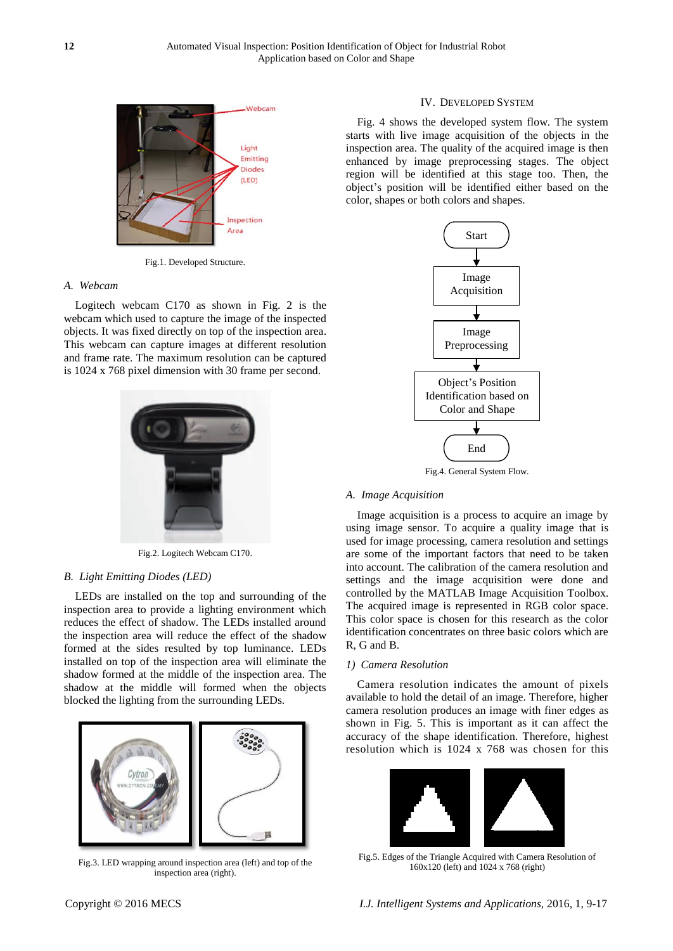

Fig.1. Developed Structure.

## *A. Webcam*

Logitech webcam C170 as shown in Fig. 2 is the webcam which used to capture the image of the inspected objects. It was fixed directly on top of the inspection area. This webcam can capture images at different resolution and frame rate. The maximum resolution can be captured is 1024 x 768 pixel dimension with 30 frame per second.



Fig.2. Logitech Webcam C170.

#### *B. Light Emitting Diodes (LED)*

LEDs are installed on the top and surrounding of the inspection area to provide a lighting environment which reduces the effect of shadow. The LEDs installed around the inspection area will reduce the effect of the shadow formed at the sides resulted by top luminance. LEDs installed on top of the inspection area will eliminate the shadow formed at the middle of the inspection area. The shadow at the middle will formed when the objects blocked the lighting from the surrounding LEDs.



Fig.3. LED wrapping around inspection area (left) and top of the inspection area (right).

# IV. DEVELOPED SYSTEM

Fig. 4 shows the developed system flow. The system starts with live image acquisition of the objects in the inspection area. The quality of the acquired image is then enhanced by image preprocessing stages. The object region will be identified at this stage too. Then, the object's position will be identified either based on the color, shapes or both colors and shapes.



Fig.4. General System Flow.

# *A. Image Acquisition*

Image acquisition is a process to acquire an image by using image sensor. To acquire a quality image that is used for image processing, camera resolution and settings are some of the important factors that need to be taken into account. The calibration of the camera resolution and settings and the image acquisition were done and controlled by the MATLAB Image Acquisition Toolbox. The acquired image is represented in RGB color space. This color space is chosen for this research as the color identification concentrates on three basic colors which are R, G and B.

#### *1) Camera Resolution*

Camera resolution indicates the amount of pixels available to hold the detail of an image. Therefore, higher camera resolution produces an image with finer edges as shown in Fig. 5. This is important as it can affect the accuracy of the shape identification. Therefore, highest resolution which is 1024 x 768 was chosen for this



Fig.5. Edges of the Triangle Acquired with Camera Resolution of 160x120 (left) and 1024 x 768 (right)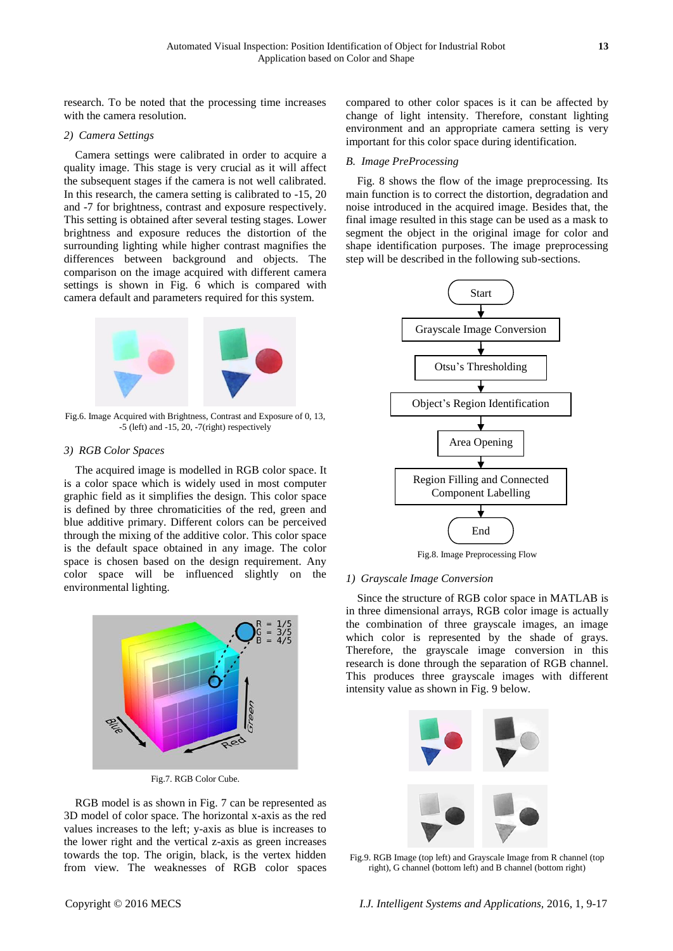research. To be noted that the processing time increases with the camera resolution.

#### *2) Camera Settings*

Camera settings were calibrated in order to acquire a quality image. This stage is very crucial as it will affect the subsequent stages if the camera is not well calibrated. In this research, the camera setting is calibrated to -15, 20 and -7 for brightness, contrast and exposure respectively. This setting is obtained after several testing stages. Lower brightness and exposure reduces the distortion of the surrounding lighting while higher contrast magnifies the differences between background and objects. The comparison on the image acquired with different camera settings is shown in Fig. 6 which is compared with camera default and parameters required for this system.



Fig.6. Image Acquired with Brightness, Contrast and Exposure of 0, 13, -5 (left) and -15, 20, -7(right) respectively

# *3) RGB Color Spaces*

The acquired image is modelled in RGB color space. It is a color space which is widely used in most computer graphic field as it simplifies the design. This color space is defined by three chromaticities of the red, green and blue additive primary. Different colors can be perceived through the mixing of the additive color. This color space is the default space obtained in any image. The color space is chosen based on the design requirement. Any color space will be influenced slightly on the environmental lighting.



Fig.7. RGB Color Cube.

RGB model is as shown in Fig. 7 can be represented as 3D model of color space. The horizontal x-axis as the red values increases to the left; y-axis as blue is increases to the lower right and the vertical z-axis as green increases towards the top. The origin, black, is the vertex hidden from view. The weaknesses of RGB color spaces compared to other color spaces is it can be affected by change of light intensity. Therefore, constant lighting environment and an appropriate camera setting is very important for this color space during identification.

#### *B. Image PreProcessing*

Fig. 8 shows the flow of the image preprocessing. Its main function is to correct the distortion, degradation and noise introduced in the acquired image. Besides that, the final image resulted in this stage can be used as a mask to segment the object in the original image for color and shape identification purposes. The image preprocessing step will be described in the following sub-sections.



Fig.8. Image Preprocessing Flow

#### *1) Grayscale Image Conversion*

Since the structure of RGB color space in MATLAB is in three dimensional arrays, RGB color image is actually the combination of three grayscale images, an image which color is represented by the shade of grays. Therefore, the grayscale image conversion in this research is done through the separation of RGB channel. This produces three grayscale images with different intensity value as shown in Fig. 9 below.



Fig.9. RGB Image (top left) and Grayscale Image from R channel (top right), G channel (bottom left) and B channel (bottom right)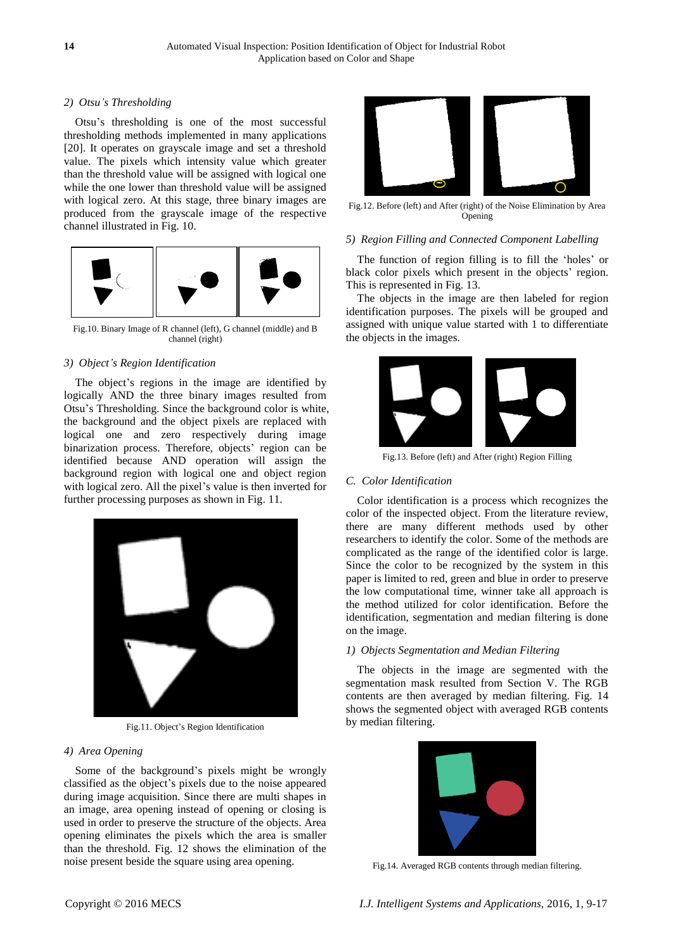# *2) Otsu's Thresholding*

Otsu's thresholding is one of the most successful thresholding methods implemented in many applications [20]. It operates on grayscale image and set a threshold value. The pixels which intensity value which greater than the threshold value will be assigned with logical one while the one lower than threshold value will be assigned with logical zero. At this stage, three binary images are produced from the grayscale image of the respective channel illustrated in Fig. 10.



Fig.10. Binary Image of R channel (left), G channel (middle) and B channel (right)

# *3) Object's Region Identification*

The object's regions in the image are identified by logically AND the three binary images resulted from Otsu's Thresholding. Since the background color is white, the background and the object pixels are replaced with logical one and zero respectively during image binarization process. Therefore, objects' region can be identified because AND operation will assign the background region with logical one and object region with logical zero. All the pixel's value is then inverted for further processing purposes as shown in Fig. 11.



Fig.11. Object's Region Identification

# *4) Area Opening*

Some of the background's pixels might be wrongly classified as the object's pixels due to the noise appeared during image acquisition. Since there are multi shapes in an image, area opening instead of opening or closing is used in order to preserve the structure of the objects. Area opening eliminates the pixels which the area is smaller than the threshold. Fig. 12 shows the elimination of the noise present beside the square using area opening.



Fig.12. Before (left) and After (right) of the Noise Elimination by Area Opening

# *5) Region Filling and Connected Component Labelling*

The function of region filling is to fill the 'holes' or black color pixels which present in the objects' region. This is represented in Fig. 13.

The objects in the image are then labeled for region identification purposes. The pixels will be grouped and assigned with unique value started with 1 to differentiate the objects in the images.



Fig.13. Before (left) and After (right) Region Filling

# *C. Color Identification*

Color identification is a process which recognizes the color of the inspected object. From the literature review, there are many different methods used by other researchers to identify the color. Some of the methods are complicated as the range of the identified color is large. Since the color to be recognized by the system in this paper is limited to red, green and blue in order to preserve the low computational time, winner take all approach is the method utilized for color identification. Before the identification, segmentation and median filtering is done on the image.

# *1) Objects Segmentation and Median Filtering*

The objects in the image are segmented with the segmentation mask resulted from Section V. The RGB contents are then averaged by median filtering. Fig. 14 shows the segmented object with averaged RGB contents by median filtering.



Fig.14. Averaged RGB contents through median filtering.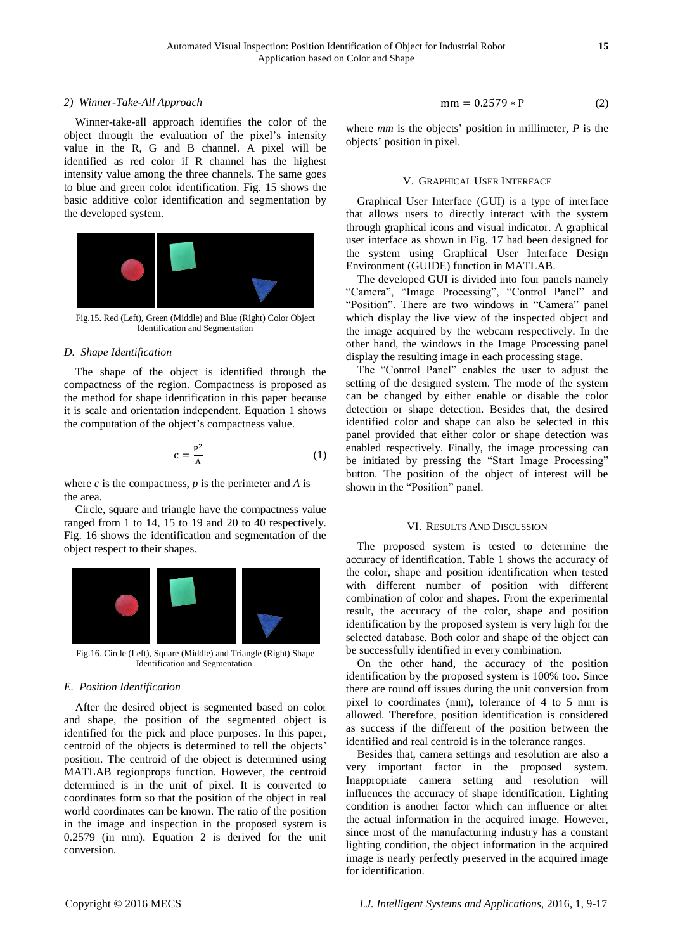#### *2) Winner-Take-All Approach*

Winner-take-all approach identifies the color of the object through the evaluation of the pixel's intensity value in the R, G and B channel. A pixel will be identified as red color if R channel has the highest intensity value among the three channels. The same goes to blue and green color identification. Fig. 15 shows the basic additive color identification and segmentation by the developed system.



Fig.15. Red (Left), Green (Middle) and Blue (Right) Color Object Identification and Segmentation

#### *D. Shape Identification*

The shape of the object is identified through the compactness of the region. Compactness is proposed as the method for shape identification in this paper because it is scale and orientation independent. Equation 1 shows the computation of the object's compactness value.

$$
c = \frac{P^2}{A} \tag{1}
$$

where  $c$  is the compactness,  $p$  is the perimeter and  $A$  is the area.

Circle, square and triangle have the compactness value ranged from 1 to 14, 15 to 19 and 20 to 40 respectively. Fig. 16 shows the identification and segmentation of the object respect to their shapes.



Fig.16. Circle (Left), Square (Middle) and Triangle (Right) Shape Identification and Segmentation.

## *E. Position Identification*

After the desired object is segmented based on color and shape, the position of the segmented object is identified for the pick and place purposes. In this paper, centroid of the objects is determined to tell the objects' position. The centroid of the object is determined using MATLAB regionprops function. However, the centroid determined is in the unit of pixel. It is converted to coordinates form so that the position of the object in real world coordinates can be known. The ratio of the position in the image and inspection in the proposed system is 0.2579 (in mm). Equation 2 is derived for the unit conversion.

$$
mm = 0.2579 \times P \tag{2}
$$

where *mm* is the objects' position in millimeter, *P* is the objects' position in pixel.

# V. GRAPHICAL USER INTERFACE

Graphical User Interface (GUI) is a type of interface that allows users to directly interact with the system through graphical icons and visual indicator. A graphical user interface as shown in Fig. 17 had been designed for the system using Graphical User Interface Design Environment (GUIDE) function in MATLAB.

The developed GUI is divided into four panels namely "Camera", "Image Processing", "Control Panel" and "Position". There are two windows in "Camera" panel which display the live view of the inspected object and the image acquired by the webcam respectively. In the other hand, the windows in the Image Processing panel display the resulting image in each processing stage.

The "Control Panel" enables the user to adjust the setting of the designed system. The mode of the system can be changed by either enable or disable the color detection or shape detection. Besides that, the desired identified color and shape can also be selected in this panel provided that either color or shape detection was enabled respectively. Finally, the image processing can be initiated by pressing the "Start Image Processing" button. The position of the object of interest will be shown in the "Position" panel.

## VI. RESULTS AND DISCUSSION

The proposed system is tested to determine the accuracy of identification. Table 1 shows the accuracy of the color, shape and position identification when tested with different number of position with different combination of color and shapes. From the experimental result, the accuracy of the color, shape and position identification by the proposed system is very high for the selected database. Both color and shape of the object can be successfully identified in every combination.

On the other hand, the accuracy of the position identification by the proposed system is 100% too. Since there are round off issues during the unit conversion from pixel to coordinates (mm), tolerance of 4 to 5 mm is allowed. Therefore, position identification is considered as success if the different of the position between the identified and real centroid is in the tolerance ranges.

Besides that, camera settings and resolution are also a very important factor in the proposed system. Inappropriate camera setting and resolution will influences the accuracy of shape identification. Lighting condition is another factor which can influence or alter the actual information in the acquired image. However, since most of the manufacturing industry has a constant lighting condition, the object information in the acquired image is nearly perfectly preserved in the acquired image for identification.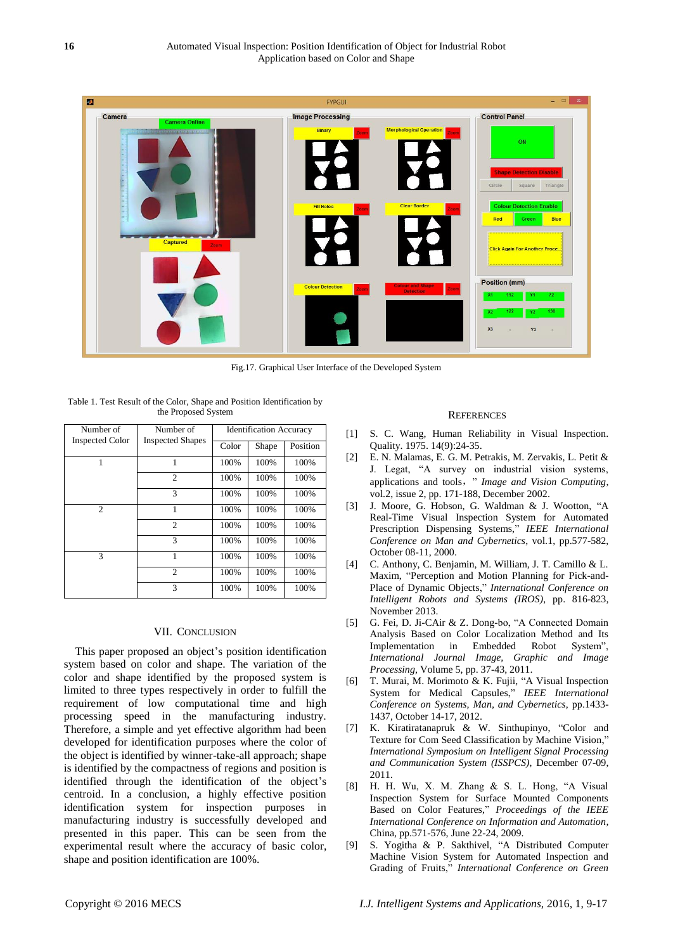

Fig.17. Graphical User Interface of the Developed System

| Number of              | Number of<br><b>Inspected Shapes</b> | <b>Identification Accuracy</b> |       |          |
|------------------------|--------------------------------------|--------------------------------|-------|----------|
| <b>Inspected Color</b> |                                      | Color                          | Shape | Position |
| 1                      | 1                                    | 100%                           | 100%  | 100%     |
|                        | $\overline{c}$                       | 100%                           | 100%  | 100%     |
|                        | 3                                    | 100%                           | 100%  | 100%     |
| 2                      | 1                                    | 100%                           | 100%  | 100%     |
|                        | $\overline{c}$                       | 100%                           | 100%  | 100%     |
|                        | $\mathcal{R}$                        | 100%                           | 100%  | 100%     |
| 3                      | 1                                    | 100%                           | 100%  | 100%     |
|                        | $\overline{c}$                       | 100%                           | 100%  | 100%     |
|                        | 3                                    | 100%                           | 100%  | 100%     |

Table 1. Test Result of the Color, Shape and Position Identification by the Proposed System

# VII. CONCLUSION

This paper proposed an object's position identification system based on color and shape. The variation of the color and shape identified by the proposed system is limited to three types respectively in order to fulfill the requirement of low computational time and high processing speed in the manufacturing industry. Therefore, a simple and yet effective algorithm had been developed for identification purposes where the color of the object is identified by winner-take-all approach; shape is identified by the compactness of regions and position is identified through the identification of the object's centroid. In a conclusion, a highly effective position identification system for inspection purposes in manufacturing industry is successfully developed and presented in this paper. This can be seen from the experimental result where the accuracy of basic color, shape and position identification are 100%.

# **REFERENCES**

- [1] S. C. Wang, Human Reliability in Visual Inspection. Quality. 1975. 14(9):24-35.
- [2] E. N. Malamas, E. G. M. Petrakis, M. Zervakis, L. Petit & J. Legat, "A survey on industrial vision systems, applications and tools," *Image and Vision Computing*, vol.2, issue 2, pp. 171-188, December 2002.
- [3] J. Moore, G. Hobson, G. Waldman & J. Wootton, "A Real-Time Visual Inspection System for Automated Prescription Dispensing Systems," *IEEE International Conference on Man and Cybernetics*, vol.1, pp.577-582, October 08-11, 2000.
- [4] C. Anthony, C. Benjamin, M. William, J. T. Camillo & L. Maxim, "Perception and Motion Planning for Pick-and-Place of Dynamic Objects," *International Conference on Intelligent Robots and Systems (IROS)*, pp. 816-823, November 2013.
- [5] G. Fei, D. Ji-CAir & Z. Dong-bo, "A Connected Domain Analysis Based on Color Localization Method and Its Implementation in Embedded Robot System", *International Journal Image, Graphic and Image Processing*, Volume 5, pp. 37-43, 2011.
- [6] T. Murai, M. Morimoto & K. Fujii, "A Visual Inspection System for Medical Capsules," *IEEE International Conference on Systems, Man, and Cybernetics*, pp.1433- 1437, October 14-17, 2012.
- [7] K. Kiratiratanapruk & W. Sinthupinyo, "Color and Texture for Com Seed Classification by Machine Vision," *International Symposium on Intelligent Signal Processing and Communication System (ISSPCS)*, December 07-09, 2011.
- [8] H. H. Wu, X. M. Zhang & S. L. Hong, "A Visual Inspection System for Surface Mounted Components Based on Color Features," *Proceedings of the IEEE International Conference on Information and Automation,*  China, pp.571-576, June 22-24, 2009.
- [9] S. Yogitha & P. Sakthivel, "A Distributed Computer Machine Vision System for Automated Inspection and Grading of Fruits," *International Conference on Green*